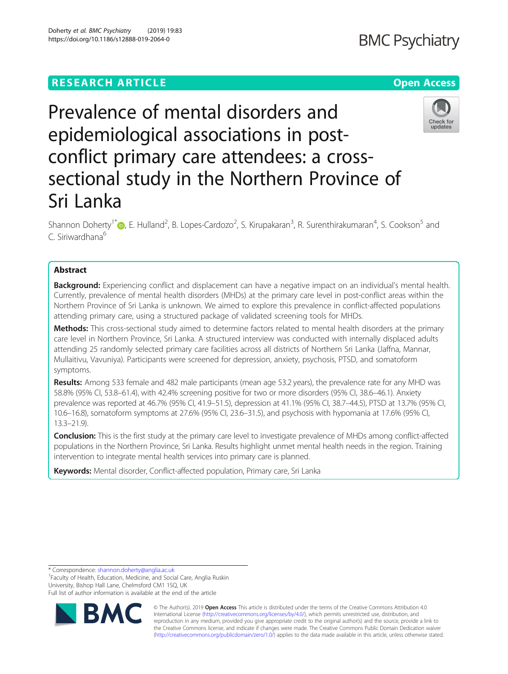# **RESEARCH ARTICLE Example 2014 12:30 The Open Access**

# Prevalence of mental disorders and epidemiological associations in postconflict primary care attendees: a crosssectional study in the Northern Province of Sri Lanka

Shannon Doherty<sup>1[\\*](http://orcid.org/0000-0002-6123-1238)</sup>D, E. Hulland<sup>2</sup>, B. Lopes-Cardozo<sup>2</sup>, S. Kirupakaran<sup>3</sup>, R. Surenthirakumaran<sup>4</sup>, S. Cookson<sup>5</sup> and C. Siriwardhana<sup>6</sup>

## Abstract

Background: Experiencing conflict and displacement can have a negative impact on an individual's mental health. Currently, prevalence of mental health disorders (MHDs) at the primary care level in post-conflict areas within the Northern Province of Sri Lanka is unknown. We aimed to explore this prevalence in conflict-affected populations attending primary care, using a structured package of validated screening tools for MHDs.

Methods: This cross-sectional study aimed to determine factors related to mental health disorders at the primary care level in Northern Province, Sri Lanka. A structured interview was conducted with internally displaced adults attending 25 randomly selected primary care facilities across all districts of Northern Sri Lanka (Jaffna, Mannar, Mullaitivu, Vavuniya). Participants were screened for depression, anxiety, psychosis, PTSD, and somatoform symptoms.

Results: Among 533 female and 482 male participants (mean age 53.2 years), the prevalence rate for any MHD was 58.8% (95% CI, 53.8–61.4), with 42.4% screening positive for two or more disorders (95% CI, 38.6–46.1). Anxiety prevalence was reported at 46.7% (95% CI, 41.9–51.5), depression at 41.1% (95% CI, 38.7–44.5), PTSD at 13.7% (95% CI, 10.6–16.8), somatoform symptoms at 27.6% (95% CI, 23.6–31.5), and psychosis with hypomania at 17.6% (95% CI, 13.3–21.9).

Conclusion: This is the first study at the primary care level to investigate prevalence of MHDs among conflict-affected populations in the Northern Province, Sri Lanka. Results highlight unmet mental health needs in the region. Training intervention to integrate mental health services into primary care is planned.

Keywords: Mental disorder, Conflict-affected population, Primary care, Sri Lanka

\* Correspondence: [shannon.doherty@anglia.ac.uk](mailto:shannon.doherty@anglia.ac.uk) <sup>1</sup>

<sup>1</sup> Faculty of Health, Education, Medicine, and Social Care, Anglia Ruskin University, Bishop Hall Lane, Chelmsford CM1 1SQ, UK

Full list of author information is available at the end of the article



© The Author(s). 2019 **Open Access** This article is distributed under the terms of the Creative Commons Attribution 4.0 International License [\(http://creativecommons.org/licenses/by/4.0/](http://creativecommons.org/licenses/by/4.0/)), which permits unrestricted use, distribution, and reproduction in any medium, provided you give appropriate credit to the original author(s) and the source, provide a link to the Creative Commons license, and indicate if changes were made. The Creative Commons Public Domain Dedication waiver [\(http://creativecommons.org/publicdomain/zero/1.0/](http://creativecommons.org/publicdomain/zero/1.0/)) applies to the data made available in this article, unless otherwise stated.



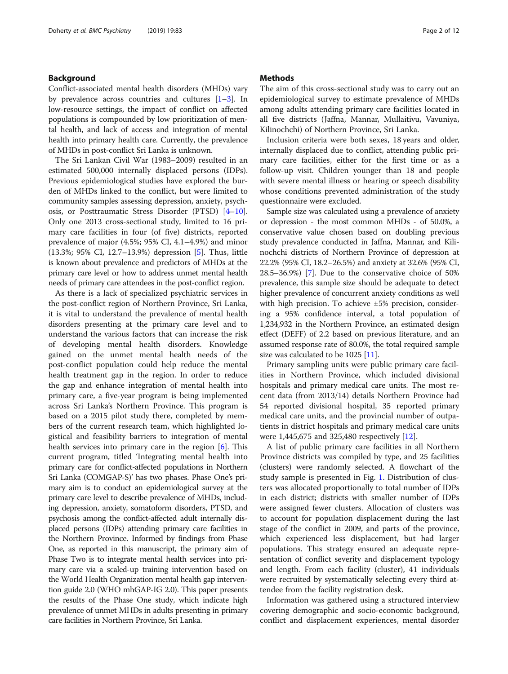### Background

Conflict-associated mental health disorders (MHDs) vary by prevalence across countries and cultures  $[1-3]$  $[1-3]$  $[1-3]$ . In low-resource settings, the impact of conflict on affected populations is compounded by low prioritization of mental health, and lack of access and integration of mental health into primary health care. Currently, the prevalence of MHDs in post-conflict Sri Lanka is unknown.

The Sri Lankan Civil War (1983–2009) resulted in an estimated 500,000 internally displaced persons (IDPs). Previous epidemiological studies have explored the burden of MHDs linked to the conflict, but were limited to community samples assessing depression, anxiety, psychosis, or Posttraumatic Stress Disorder (PTSD) [[4](#page-10-0)–[10](#page-10-0)]. Only one 2013 cross-sectional study, limited to 16 primary care facilities in four (of five) districts, reported prevalence of major (4.5%; 95% CI, 4.1–4.9%) and minor (13.3%; 95% CI, 12.7–13.9%) depression [[5\]](#page-10-0). Thus, little is known about prevalence and predictors of MHDs at the primary care level or how to address unmet mental health needs of primary care attendees in the post-conflict region.

As there is a lack of specialized psychiatric services in the post-conflict region of Northern Province, Sri Lanka, it is vital to understand the prevalence of mental health disorders presenting at the primary care level and to understand the various factors that can increase the risk of developing mental health disorders. Knowledge gained on the unmet mental health needs of the post-conflict population could help reduce the mental health treatment gap in the region. In order to reduce the gap and enhance integration of mental health into primary care, a five-year program is being implemented across Sri Lanka's Northern Province. This program is based on a 2015 pilot study there, completed by members of the current research team, which highlighted logistical and feasibility barriers to integration of mental health services into primary care in the region [[6](#page-10-0)]. This current program, titled 'Integrating mental health into primary care for conflict-affected populations in Northern Sri Lanka (COMGAP-S)' has two phases. Phase One's primary aim is to conduct an epidemiological survey at the primary care level to describe prevalence of MHDs, including depression, anxiety, somatoform disorders, PTSD, and psychosis among the conflict-affected adult internally displaced persons (IDPs) attending primary care facilities in the Northern Province. Informed by findings from Phase One, as reported in this manuscript, the primary aim of Phase Two is to integrate mental health services into primary care via a scaled-up training intervention based on the World Health Organization mental health gap intervention guide 2.0 (WHO mhGAP-IG 2.0). This paper presents the results of the Phase One study, which indicate high prevalence of unmet MHDs in adults presenting in primary care facilities in Northern Province, Sri Lanka.

#### **Methods**

The aim of this cross-sectional study was to carry out an epidemiological survey to estimate prevalence of MHDs among adults attending primary care facilities located in all five districts (Jaffna, Mannar, Mullaitivu, Vavuniya, Kilinochchi) of Northern Province, Sri Lanka.

Inclusion criteria were both sexes, 18 years and older, internally displaced due to conflict, attending public primary care facilities, either for the first time or as a follow-up visit. Children younger than 18 and people with severe mental illness or hearing or speech disability whose conditions prevented administration of the study questionnaire were excluded.

Sample size was calculated using a prevalence of anxiety or depression - the most common MHDs - of 50.0%, a conservative value chosen based on doubling previous study prevalence conducted in Jaffna, Mannar, and Kilinochchi districts of Northern Province of depression at 22.2% (95% CI, 18.2–26.5%) and anxiety at 32.6% (95% CI, 28.5–36.9%) [[7\]](#page-10-0). Due to the conservative choice of 50% prevalence, this sample size should be adequate to detect higher prevalence of concurrent anxiety conditions as well with high precision. To achieve ±5% precision, considering a 95% confidence interval, a total population of 1,234,932 in the Northern Province, an estimated design effect (DEFF) of 2.2 based on previous literature, and an assumed response rate of 80.0%, the total required sample size was calculated to be 1025 [[11](#page-10-0)].

Primary sampling units were public primary care facilities in Northern Province, which included divisional hospitals and primary medical care units. The most recent data (from 2013/14) details Northern Province had 54 reported divisional hospital, 35 reported primary medical care units, and the provincial number of outpatients in district hospitals and primary medical care units were 1,445,675 and 325,480 respectively [[12\]](#page-10-0).

A list of public primary care facilities in all Northern Province districts was compiled by type, and 25 facilities (clusters) were randomly selected. A flowchart of the study sample is presented in Fig. [1.](#page-2-0) Distribution of clusters was allocated proportionally to total number of IDPs in each district; districts with smaller number of IDPs were assigned fewer clusters. Allocation of clusters was to account for population displacement during the last stage of the conflict in 2009, and parts of the province, which experienced less displacement, but had larger populations. This strategy ensured an adequate representation of conflict severity and displacement typology and length. From each facility (cluster), 41 individuals were recruited by systematically selecting every third attendee from the facility registration desk.

Information was gathered using a structured interview covering demographic and socio-economic background, conflict and displacement experiences, mental disorder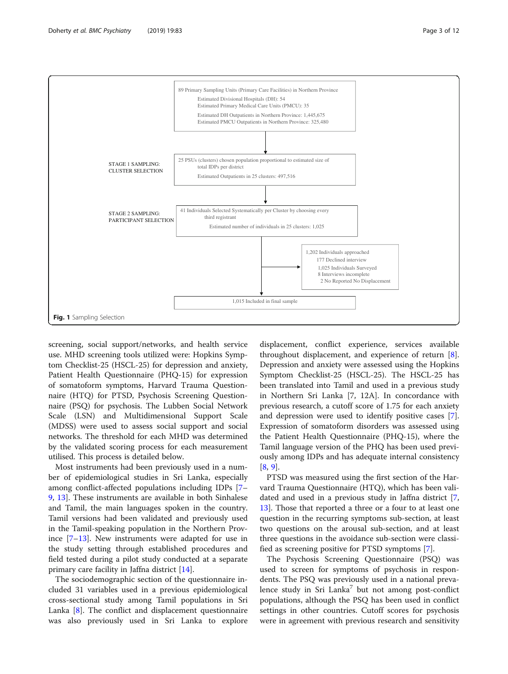<span id="page-2-0"></span>

screening, social support/networks, and health service use. MHD screening tools utilized were: Hopkins Symptom Checklist-25 (HSCL-25) for depression and anxiety, Patient Health Questionnaire (PHQ-15) for expression of somatoform symptoms, Harvard Trauma Questionnaire (HTQ) for PTSD, Psychosis Screening Questionnaire (PSQ) for psychosis. The Lubben Social Network Scale (LSN) and Multidimensional Support Scale (MDSS) were used to assess social support and social networks. The threshold for each MHD was determined by the validated scoring process for each measurement utilised. This process is detailed below.

Most instruments had been previously used in a number of epidemiological studies in Sri Lanka, especially among conflict-affected populations including IDPs [[7](#page-10-0)– [9,](#page-10-0) [13\]](#page-10-0). These instruments are available in both Sinhalese and Tamil, the main languages spoken in the country. Tamil versions had been validated and previously used in the Tamil-speaking population in the Northern Province [\[7](#page-10-0)–[13\]](#page-10-0). New instruments were adapted for use in the study setting through established procedures and field tested during a pilot study conducted at a separate primary care facility in Jaffna district [[14\]](#page-11-0).

The sociodemographic section of the questionnaire included 31 variables used in a previous epidemiological cross-sectional study among Tamil populations in Sri Lanka [[8\]](#page-10-0). The conflict and displacement questionnaire was also previously used in Sri Lanka to explore displacement, conflict experience, services available throughout displacement, and experience of return  $[8]$  $[8]$ . Depression and anxiety were assessed using the Hopkins Symptom Checklist-25 (HSCL-25). The HSCL-25 has been translated into Tamil and used in a previous study in Northern Sri Lanka [7, 12A]. In concordance with previous research, a cutoff score of 1.75 for each anxiety and depression were used to identify positive cases [\[7](#page-10-0)]. Expression of somatoform disorders was assessed using the Patient Health Questionnaire (PHQ-15), where the Tamil language version of the PHQ has been used previously among IDPs and has adequate internal consistency [[8,](#page-10-0) [9\]](#page-10-0).

PTSD was measured using the first section of the Harvard Trauma Questionnaire (HTQ), which has been validated and used in a previous study in Jaffna district [\[7](#page-10-0), [13\]](#page-10-0). Those that reported a three or a four to at least one question in the recurring symptoms sub-section, at least two questions on the arousal sub-section, and at least three questions in the avoidance sub-section were classified as screening positive for PTSD symptoms [[7\]](#page-10-0).

The Psychosis Screening Questionnaire (PSQ) was used to screen for symptoms of psychosis in respondents. The PSQ was previously used in a national prevalence study in Sri Lanka<sup>7</sup> but not among post-conflict populations, although the PSQ has been used in conflict settings in other countries. Cutoff scores for psychosis were in agreement with previous research and sensitivity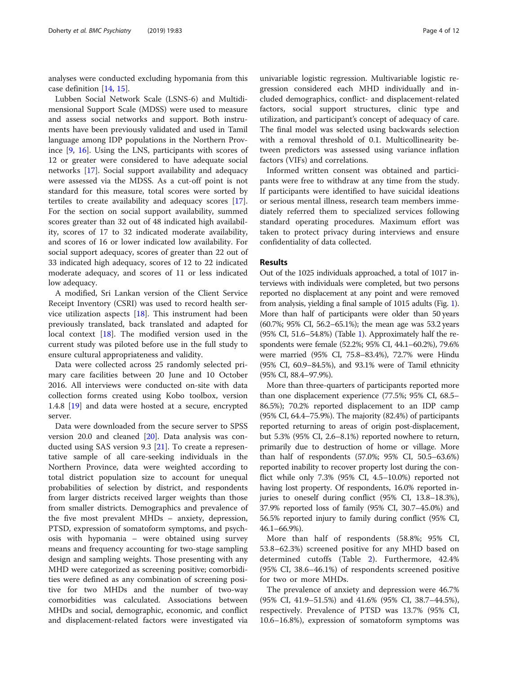analyses were conducted excluding hypomania from this case definition [\[14,](#page-11-0) [15\]](#page-11-0).

Lubben Social Network Scale (LSNS-6) and Multidimensional Support Scale (MDSS) were used to measure and assess social networks and support. Both instruments have been previously validated and used in Tamil language among IDP populations in the Northern Province [[9,](#page-10-0) [16](#page-11-0)]. Using the LNS, participants with scores of 12 or greater were considered to have adequate social networks [[17\]](#page-11-0). Social support availability and adequacy were assessed via the MDSS. As a cut-off point is not standard for this measure, total scores were sorted by tertiles to create availability and adequacy scores [\[17](#page-11-0)]. For the section on social support availability, summed scores greater than 32 out of 48 indicated high availability, scores of 17 to 32 indicated moderate availability, and scores of 16 or lower indicated low availability. For social support adequacy, scores of greater than 22 out of 33 indicated high adequacy, scores of 12 to 22 indicated moderate adequacy, and scores of 11 or less indicated low adequacy.

A modified, Sri Lankan version of the Client Service Receipt Inventory (CSRI) was used to record health service utilization aspects [[18\]](#page-11-0). This instrument had been previously translated, back translated and adapted for local context [[18](#page-11-0)]. The modified version used in the current study was piloted before use in the full study to ensure cultural appropriateness and validity.

Data were collected across 25 randomly selected primary care facilities between 20 June and 10 October 2016. All interviews were conducted on-site with data collection forms created using Kobo toolbox, version 1.4.8 [\[19](#page-11-0)] and data were hosted at a secure, encrypted server.

Data were downloaded from the secure server to SPSS version 20.0 and cleaned [[20](#page-11-0)]. Data analysis was conducted using SAS version 9.3 [[21](#page-11-0)]. To create a representative sample of all care-seeking individuals in the Northern Province, data were weighted according to total district population size to account for unequal probabilities of selection by district, and respondents from larger districts received larger weights than those from smaller districts. Demographics and prevalence of the five most prevalent MHDs – anxiety, depression, PTSD, expression of somatoform symptoms, and psychosis with hypomania – were obtained using survey means and frequency accounting for two-stage sampling design and sampling weights. Those presenting with any MHD were categorized as screening positive; comorbidities were defined as any combination of screening positive for two MHDs and the number of two-way comorbidities was calculated. Associations between MHDs and social, demographic, economic, and conflict and displacement-related factors were investigated via

univariable logistic regression. Multivariable logistic regression considered each MHD individually and included demographics, conflict- and displacement-related factors, social support structures, clinic type and utilization, and participant's concept of adequacy of care. The final model was selected using backwards selection with a removal threshold of 0.1. Multicollinearity between predictors was assessed using variance inflation factors (VIFs) and correlations.

Informed written consent was obtained and participants were free to withdraw at any time from the study. If participants were identified to have suicidal ideations or serious mental illness, research team members immediately referred them to specialized services following standard operating procedures. Maximum effort was taken to protect privacy during interviews and ensure confidentiality of data collected.

#### Results

Out of the 1025 individuals approached, a total of 1017 interviews with individuals were completed, but two persons reported no displacement at any point and were removed from analysis, yielding a final sample of 1015 adults (Fig. [1](#page-2-0)). More than half of participants were older than 50 years (60.7%; 95% CI, 56.2–65.1%); the mean age was 53.2 years (95% CI, 51.6–54.8%) (Table [1\)](#page-4-0). Approximately half the respondents were female (52.2%; 95% CI, 44.1–60.2%), 79.6% were married (95% CI, 75.8–83.4%), 72.7% were Hindu (95% CI, 60.9–84.5%), and 93.1% were of Tamil ethnicity (95% CI, 88.4–97.9%).

More than three-quarters of participants reported more than one displacement experience (77.5%; 95% CI, 68.5– 86.5%); 70.2% reported displacement to an IDP camp (95% CI, 64.4–75.9%). The majority (82.4%) of participants reported returning to areas of origin post-displacement, but 5.3% (95% CI, 2.6–8.1%) reported nowhere to return, primarily due to destruction of home or village. More than half of respondents (57.0%; 95% CI, 50.5–63.6%) reported inability to recover property lost during the conflict while only 7.3% (95% CI, 4.5–10.0%) reported not having lost property. Of respondents, 16.0% reported injuries to oneself during conflict (95% CI, 13.8–18.3%), 37.9% reported loss of family (95% CI, 30.7–45.0%) and 56.5% reported injury to family during conflict (95% CI, 46.1–66.9%).

More than half of respondents (58.8%; 95% CI, 53.8–62.3%) screened positive for any MHD based on determined cutoffs (Table [2\)](#page-6-0). Furthermore, 42.4% (95% CI, 38.6–46.1%) of respondents screened positive for two or more MHDs.

The prevalence of anxiety and depression were 46.7% (95% CI, 41.9–51.5%) and 41.6% (95% CI, 38.7–44.5%), respectively. Prevalence of PTSD was 13.7% (95% CI, 10.6–16.8%), expression of somatoform symptoms was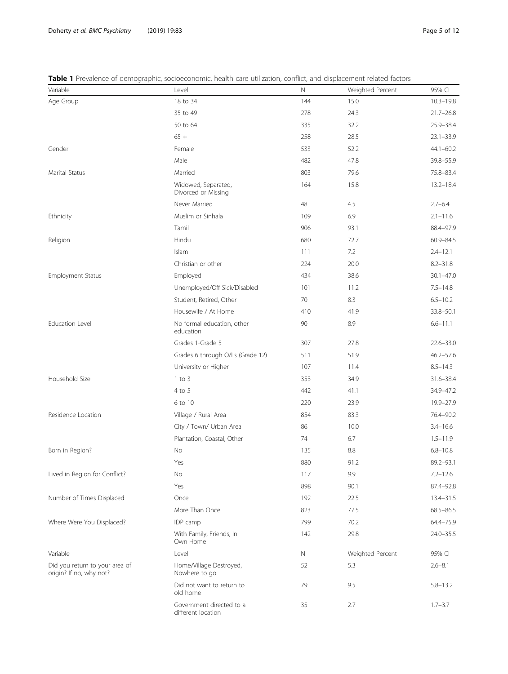<span id="page-4-0"></span>

|  | Table 1 Prevalence of demographic, socioeconomic, health care utilization, conflict, and displacement related factors |  |  |
|--|-----------------------------------------------------------------------------------------------------------------------|--|--|
|  |                                                                                                                       |  |  |

| Variable                                                  | Level                                          | N   | Weighted Percent | 95% CI        |
|-----------------------------------------------------------|------------------------------------------------|-----|------------------|---------------|
| Age Group                                                 | 18 to 34                                       | 144 | 15.0             | $10.3 - 19.8$ |
|                                                           | 35 to 49                                       | 278 | 24.3             | $21.7 - 26.8$ |
|                                                           | 50 to 64                                       | 335 | 32.2             | $25.9 - 38.4$ |
|                                                           | $65 +$                                         | 258 | 28.5             | $23.1 - 33.9$ |
| Gender                                                    | Female                                         | 533 | 52.2             | $44.1 - 60.2$ |
|                                                           | Male                                           | 482 | 47.8             | 39.8-55.9     |
| Marital Status                                            | Married                                        | 803 | 79.6             | 75.8-83.4     |
|                                                           | Widowed, Separated,<br>Divorced or Missing     | 164 | 15.8             | $13.2 - 18.4$ |
|                                                           | Never Married                                  | 48  | 4.5              | $2.7 - 6.4$   |
| Ethnicity                                                 | Muslim or Sinhala                              | 109 | 6.9              | $2.1 - 11.6$  |
|                                                           | Tamil                                          | 906 | 93.1             | 88.4-97.9     |
| Religion                                                  | Hindu                                          | 680 | 72.7             | 60.9-84.5     |
|                                                           | Islam                                          | 111 | 7.2              | $2.4 - 12.1$  |
|                                                           | Christian or other                             | 224 | 20.0             | $8.2 - 31.8$  |
| Employment Status                                         | Employed                                       | 434 | 38.6             | $30.1 - 47.0$ |
|                                                           | Unemployed/Off Sick/Disabled                   | 101 | 11.2             | $7.5 - 14.8$  |
|                                                           | Student, Retired, Other                        | 70  | 8.3              | $6.5 - 10.2$  |
|                                                           | Housewife / At Home                            | 410 | 41.9             | 33.8-50.1     |
| <b>Education Level</b>                                    | No formal education, other<br>education        | 90  | 8.9              | $6.6 - 11.1$  |
|                                                           | Grades 1-Grade 5                               | 307 | 27.8             | $22.6 - 33.0$ |
|                                                           | Grades 6 through O/Ls (Grade 12)               | 511 | 51.9             | $46.2 - 57.6$ |
|                                                           | University or Higher                           | 107 | 11.4             | $8.5 - 14.3$  |
| Household Size                                            | $1$ to $3$                                     | 353 | 34.9             | $31.6 - 38.4$ |
|                                                           | 4 to 5                                         | 442 | 41.1             | 34.9-47.2     |
|                                                           | 6 to 10                                        | 220 | 23.9             | 19.9-27.9     |
| Residence Location                                        | Village / Rural Area                           | 854 | 83.3             | 76.4-90.2     |
|                                                           | City / Town/ Urban Area                        | 86  | 10.0             | $3.4 - 16.6$  |
|                                                           | Plantation, Coastal, Other                     | 74  | 6.7              | $1.5 - 11.9$  |
| Born in Region?                                           | No                                             | 135 | 8.8              | $6.8 - 10.8$  |
|                                                           | Yes                                            | 880 | 91.2             | 89.2-93.1     |
| Lived in Region for Conflict?                             | No                                             | 117 | 9.9              | $7.2 - 12.6$  |
|                                                           | Yes                                            | 898 | 90.1             | 87.4-92.8     |
| Number of Times Displaced                                 | Once                                           | 192 | 22.5             | $13.4 - 31.5$ |
|                                                           | More Than Once                                 | 823 | 77.5             | $68.5 - 86.5$ |
| Where Were You Displaced?                                 | IDP camp                                       | 799 | 70.2             | 64.4-75.9     |
|                                                           | With Family, Friends, In<br>Own Home           | 142 | 29.8             | $24.0 - 35.5$ |
| Variable                                                  | Level                                          | Ν   | Weighted Percent | 95% CI        |
| Did you return to your area of<br>origin? If no, why not? | Home/Village Destroyed,<br>Nowhere to go       | 52  | 5.3              | $2.6 - 8.1$   |
|                                                           | Did not want to return to<br>old home          | 79  | 9.5              | $5.8 - 13.2$  |
|                                                           | Government directed to a<br>different location | 35  | 2.7              | $1.7 - 3.7$   |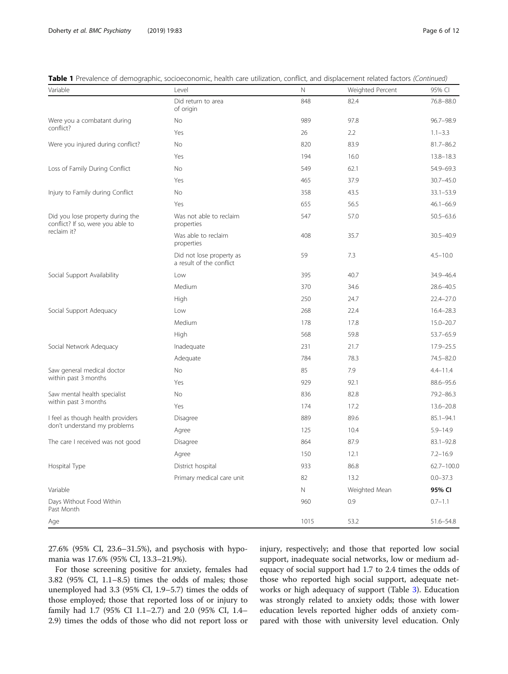| Variable                                                              | Level                                                | $\mathbb N$ | Weighted Percent | 95% CI         |
|-----------------------------------------------------------------------|------------------------------------------------------|-------------|------------------|----------------|
|                                                                       | Did return to area<br>of origin                      | 848         | 82.4             | 76.8-88.0      |
| Were you a combatant during                                           | No                                                   | 989         | 97.8             | $96.7 - 98.9$  |
| conflict?                                                             | Yes                                                  | 26          | 2.2              | $1.1 - 3.3$    |
| Were you injured during conflict?                                     | <b>No</b>                                            | 820         | 83.9             | $81.7 - 86.2$  |
|                                                                       | Yes                                                  | 194         | 16.0             | $13.8 - 18.3$  |
| Loss of Family During Conflict                                        | <b>No</b>                                            | 549         | 62.1             | 54.9-69.3      |
|                                                                       | Yes                                                  | 465         | 37.9             | 30.7-45.0      |
| Injury to Family during Conflict                                      | No                                                   | 358         | 43.5             | $33.1 - 53.9$  |
|                                                                       | Yes                                                  | 655         | 56.5             | $46.1 - 66.9$  |
| Did you lose property during the<br>conflict? If so, were you able to | Was not able to reclaim<br>properties                | 547         | 57.0             | $50.5 - 63.6$  |
| reclaim it?                                                           | Was able to reclaim<br>properties                    | 408         | 35.7             | $30.5 - 40.9$  |
|                                                                       | Did not lose property as<br>a result of the conflict | 59          | 7.3              | $4.5 - 10.0$   |
| Social Support Availability                                           | Low                                                  | 395         | 40.7             | 34.9-46.4      |
|                                                                       | Medium                                               | 370         | 34.6             | 28.6-40.5      |
|                                                                       | High                                                 | 250         | 24.7             | $22.4 - 27.0$  |
| Social Support Adequacy                                               | Low                                                  | 268         | 22.4             | $16.4 - 28.3$  |
|                                                                       | Medium                                               | 178         | 17.8             | $15.0 - 20.7$  |
|                                                                       | High                                                 | 568         | 59.8             | 53.7-65.9      |
| Social Network Adequacy                                               | Inadequate                                           | 231         | 21.7             | $17.9 - 25.5$  |
|                                                                       | Adequate                                             | 784         | 78.3             | 74.5-82.0      |
| Saw general medical doctor                                            | <b>No</b>                                            | 85          | 7.9              | $4.4 - 11.4$   |
| within past 3 months                                                  | Yes                                                  | 929         | 92.1             | 88.6-95.6      |
| Saw mental health specialist                                          | No                                                   | 836         | 82.8             | 79.2-86.3      |
| within past 3 months                                                  | Yes                                                  | 174         | 17.2             | $13.6 - 20.8$  |
| I feel as though health providers                                     | Disagree                                             | 889         | 89.6             | $85.1 - 94.1$  |
| don't understand my problems                                          | Agree                                                | 125         | 10.4             | $5.9 - 14.9$   |
| The care I received was not good                                      | Disagree                                             | 864         | 87.9             | $83.1 - 92.8$  |
|                                                                       | Agree                                                | 150         | 12.1             | $7.2 - 16.9$   |
| Hospital Type                                                         | District hospital                                    | 933         | 86.8             | $62.7 - 100.0$ |
|                                                                       | Primary medical care unit                            | 82          | 13.2             | $0.0 - 37.3$   |
| Variable                                                              |                                                      | N           | Weighted Mean    | 95% CI         |
| Days Without Food Within<br>Past Month                                |                                                      | 960         | 0.9              | $0.7 - 1.1$    |
| Age                                                                   |                                                      | 1015        | 53.2             | 51.6-54.8      |

Table 1 Prevalence of demographic, socioeconomic, health care utilization, conflict, and displacement related factors (Continued)

27.6% (95% CI, 23.6–31.5%), and psychosis with hypomania was 17.6% (95% CI, 13.3–21.9%).

For those screening positive for anxiety, females had 3.82 (95% CI, 1.1–8.5) times the odds of males; those unemployed had 3.3 (95% CI, 1.9–5.7) times the odds of those employed; those that reported loss of or injury to family had 1.7 (95% CI 1.1–2.7) and 2.0 (95% CI, 1.4– 2.9) times the odds of those who did not report loss or injury, respectively; and those that reported low social support, inadequate social networks, low or medium adequacy of social support had 1.7 to 2.4 times the odds of those who reported high social support, adequate networks or high adequacy of support (Table [3\)](#page-7-0). Education was strongly related to anxiety odds; those with lower education levels reported higher odds of anxiety compared with those with university level education. Only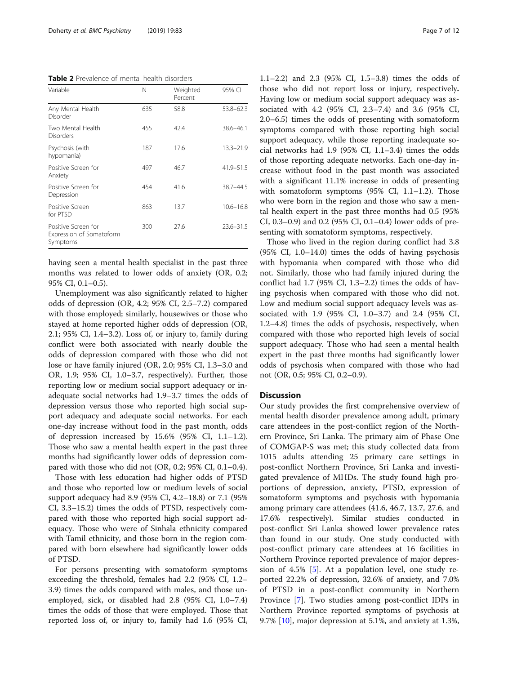<span id="page-6-0"></span>Table 2 Prevalence of mental health disorders

| Variable                                                    | N   | Weighted<br>Percent | 95% CI        |
|-------------------------------------------------------------|-----|---------------------|---------------|
| Any Mental Health<br>Disorder                               | 635 | 58.8                | $53.8 - 62.3$ |
| Two Mental Health<br><b>Disorders</b>                       | 455 | 42.4                | 38.6-46.1     |
| Psychosis (with<br>hypomania)                               | 187 | 17.6                | $13.3 - 21.9$ |
| Positive Screen for<br>Anxiety                              | 497 | 46.7                | 41.9-51.5     |
| Positive Screen for<br>Depression                           | 454 | 41.6                | 38.7-44.5     |
| Positive Screen<br>for PTSD                                 | 863 | 13.7                | $10.6 - 16.8$ |
| Positive Screen for<br>Expression of Somatoform<br>Symptoms | 300 | 27.6                | $23.6 - 31.5$ |

having seen a mental health specialist in the past three months was related to lower odds of anxiety (OR, 0.2; 95% CI, 0.1–0.5).

Unemployment was also significantly related to higher odds of depression (OR, 4.2; 95% CI, 2.5–7.2) compared with those employed; similarly, housewives or those who stayed at home reported higher odds of depression (OR, 2.1; 95% CI, 1.4–3.2). Loss of, or injury to, family during conflict were both associated with nearly double the odds of depression compared with those who did not lose or have family injured (OR, 2.0; 95% CI, 1.3–3.0 and OR, 1.9; 95% CI, 1.0–3.7, respectively). Further, those reporting low or medium social support adequacy or inadequate social networks had 1.9–3.7 times the odds of depression versus those who reported high social support adequacy and adequate social networks. For each one-day increase without food in the past month, odds of depression increased by 15.6% (95% CI, 1.1–1.2). Those who saw a mental health expert in the past three months had significantly lower odds of depression compared with those who did not  $(OR, 0.2; 95\% \text{ CI}, 0.1-0.4)$ .

Those with less education had higher odds of PTSD and those who reported low or medium levels of social support adequacy had 8.9 (95% CI, 4.2–18.8) or 7.1 (95% CI, 3.3–15.2) times the odds of PTSD, respectively compared with those who reported high social support adequacy. Those who were of Sinhala ethnicity compared with Tamil ethnicity, and those born in the region compared with born elsewhere had significantly lower odds of PTSD.

For persons presenting with somatoform symptoms exceeding the threshold, females had 2.2 (95% CI, 1.2– 3.9) times the odds compared with males, and those unemployed, sick, or disabled had 2.8 (95% CI, 1.0–7.4) times the odds of those that were employed. Those that reported loss of, or injury to, family had 1.6 (95% CI,

1.1–2.2) and 2.3 (95% CI, 1.5–3.8) times the odds of those who did not report loss or injury, respectively. Having low or medium social support adequacy was associated with 4.2 (95% CI, 2.3–7.4) and 3.6 (95% CI, 2.0–6.5) times the odds of presenting with somatoform symptoms compared with those reporting high social support adequacy, while those reporting inadequate social networks had 1.9 (95% CI, 1.1–3.4) times the odds of those reporting adequate networks. Each one-day increase without food in the past month was associated with a significant 11.1% increase in odds of presenting with somatoform symptoms (95% CI, 1.1–1.2). Those who were born in the region and those who saw a mental health expert in the past three months had 0.5 (95% CI, 0.3–0.9) and 0.2 (95% CI, 0.1–0.4) lower odds of presenting with somatoform symptoms, respectively.

Those who lived in the region during conflict had 3.8 (95% CI, 1.0–14.0) times the odds of having psychosis with hypomania when compared with those who did not. Similarly, those who had family injured during the conflict had 1.7 (95% CI, 1.3–2.2) times the odds of having psychosis when compared with those who did not. Low and medium social support adequacy levels was associated with 1.9 (95% CI, 1.0–3.7) and 2.4 (95% CI, 1.2–4.8) times the odds of psychosis, respectively, when compared with those who reported high levels of social support adequacy. Those who had seen a mental health expert in the past three months had significantly lower odds of psychosis when compared with those who had not (OR, 0.5; 95% CI, 0.2–0.9).

#### **Discussion**

Our study provides the first comprehensive overview of mental health disorder prevalence among adult, primary care attendees in the post-conflict region of the Northern Province, Sri Lanka. The primary aim of Phase One of COMGAP-S was met; this study collected data from 1015 adults attending 25 primary care settings in post-conflict Northern Province, Sri Lanka and investigated prevalence of MHDs. The study found high proportions of depression, anxiety, PTSD, expression of somatoform symptoms and psychosis with hypomania among primary care attendees (41.6, 46.7, 13.7, 27.6, and 17.6% respectively). Similar studies conducted in post-conflict Sri Lanka showed lower prevalence rates than found in our study. One study conducted with post-conflict primary care attendees at 16 facilities in Northern Province reported prevalence of major depression of 4.5% [\[5](#page-10-0)]. At a population level, one study reported 22.2% of depression, 32.6% of anxiety, and 7.0% of PTSD in a post-conflict community in Northern Province [[7\]](#page-10-0). Two studies among post-conflict IDPs in Northern Province reported symptoms of psychosis at 9.7% [[10\]](#page-10-0), major depression at 5.1%, and anxiety at 1.3%,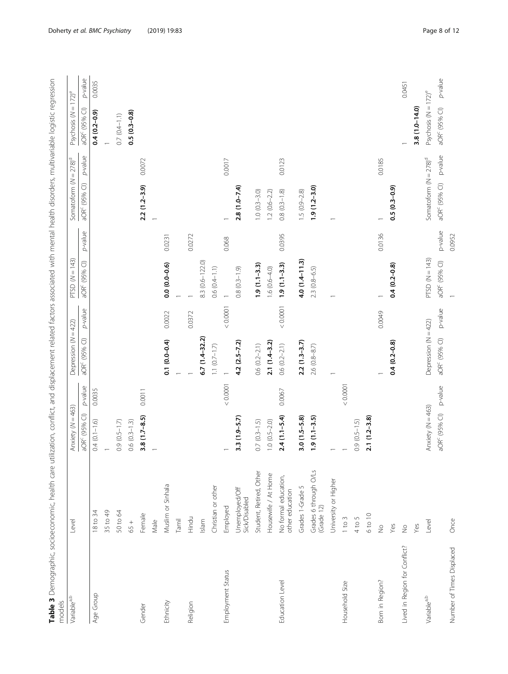<span id="page-7-0"></span>

| Variable <sup>a,b</sup>       | Level                                   | Anxiety $(N = 463)$       |          | Depression $(N = 422)$    |          | PTSD ( $N = 143$ )             |         | Somatoform $(N = 278)^d$       |         | Psychosis $(N = 172)^e$   |         |
|-------------------------------|-----------------------------------------|---------------------------|----------|---------------------------|----------|--------------------------------|---------|--------------------------------|---------|---------------------------|---------|
|                               |                                         | aOR <sup>c</sup> (95% Cl) | p-value  | aOR <sup>c</sup> (95% Cl) | p-value  | $(95%$ Cl)<br>aOR <sup>c</sup> | p-value | $(95%$ Cl)<br>aOR <sup>c</sup> | p-value | aOR <sup>c</sup> (95% Cl) | p-value |
| Age Group                     | 18 to 34                                | $0.4(0.1 - 1.6)$          | 0.0035   |                           |          |                                |         |                                |         | $0.4(0.2 - 0.9)$          | 0.0035  |
|                               | 35 to 49                                |                           |          |                           |          |                                |         |                                |         |                           |         |
|                               | 50 to 64                                | $0.9(0.5 - 1.7)$          |          |                           |          |                                |         |                                |         | $0.7(0.4 - 1.1)$          |         |
|                               | $+54$                                   | $0.6(0.3-1.3)$            |          |                           |          |                                |         |                                |         | $0.5(0.3-0.8)$            |         |
| Gender                        | Female                                  | $3.8(1.7 - 8.5)$          | 0.0011   |                           |          |                                |         | $2.2(1.2 - 3.9)$               | 0.0072  |                           |         |
|                               | Male                                    |                           |          |                           |          |                                |         |                                |         |                           |         |
| Ethnicity                     | Muslim or Sinhala                       |                           |          | $0.1(0.0-0.4)$            | 0.0022   | $0.0 (0.0 - 0.6)$              | 0.0231  |                                |         |                           |         |
|                               | Tamil                                   |                           |          |                           |          |                                |         |                                |         |                           |         |
| Religion                      | Hindu                                   |                           |          |                           | 0.0372   |                                | 0.0272  |                                |         |                           |         |
|                               | Islam                                   |                           |          | $6.7(1.4 - 32.2)$         |          | 8.3 (0.6-122.0)                |         |                                |         |                           |         |
|                               | Christian or other                      |                           |          | $1.1 (0.7 - 1.7)$         |          | $0.6(0.4 - 1.1)$               |         |                                |         |                           |         |
| Employment Status             | Employed                                |                           | < 0.0001 |                           | 0.0001   |                                | 0.068   |                                | 0.0017  |                           |         |
|                               | Unemployed/Off<br>Sick/Disabled         | $3.3(1.9 - 5.7)$          |          | $4.2(2.5 - 7.2)$          |          | $0.8(0.3-1.9)$                 |         | $2.8(1.0 - 7.4)$               |         |                           |         |
|                               | Student, Retired, Other                 | $0.7(0.3-1.5)$            |          | $0.6(0.2 - 2.1)$          |          | $1.9(1.1 - 3.3)$               |         | $1.0(0.3 - 3.0)$               |         |                           |         |
|                               | Housewife / At Home                     | $1.0 (0.5 - 2.0)$         |          | $2.1(1.4-3.2)$            |          | $1.6(0.6 - 4.0)$               |         | $1.2(0.6 - 2.2)$               |         |                           |         |
| Education Level               | No formal education,<br>other education | $2.4(1.1 - 5.4)$          | 0.0067   | $0.6(0.2 - 2.1)$          | < 0.0001 | $1.9(1.1 - 3.3)$               | 0.0395  | $0.8(0.3 - 1.8)$               | 0.0123  |                           |         |
|                               | Grades 1-Grade 5                        | $3.0(1.5 - 5.8)$          |          | $2.2(1.3-3.7)$            |          | $4.0(1.4 - 11.3)$              |         | $1.5(0.9 - 2.8)$               |         |                           |         |
|                               | Grades 6 through O/Ls<br>(Grade 12)     | $1.9(1.1 - 3.5)$          |          | $2.6$ $(0.8 - 8.7)$       |          | $2.3(0.8 - 6.5)$               |         | $1.9(1.2 - 3.0)$               |         |                           |         |
|                               | University or Higher                    |                           |          |                           |          |                                |         |                                |         |                           |         |
| Household Size                | 1 to 3                                  |                           | < 0.0001 |                           |          |                                |         |                                |         |                           |         |
|                               | 4 to 5                                  | $0.9(0.5-1.5)$            |          |                           |          |                                |         |                                |         |                           |         |
|                               | $6$ to $10$                             | $2.1(1.2 - 3.8)$          |          |                           |          |                                |         |                                |         |                           |         |
| Born in Region?               | $\frac{1}{2}$                           |                           |          |                           | 0.0049   |                                | 0.0136  |                                | 0.0185  |                           |         |
|                               | Yes                                     |                           |          | $0.4(0.2 - 0.8)$          |          | $0.4(0.2 - 0.8)$               |         | $0.5(0.3-0.9)$                 |         |                           |         |
| Lived in Region for Conflict? | $\frac{1}{2}$                           |                           |          |                           |          |                                |         |                                |         |                           | 0.0451  |
|                               | Yes                                     |                           |          |                           |          |                                |         |                                |         | $3.8(1.0 - 14.0)$         |         |
| Variable <sup>a,b</sup>       | Level                                   | Anxiety ( $N = 463$ )     |          | Depression $(N = 422)$    |          | $PTSD (N = 143)$               |         | Somatoform $(N = 278)^d$       |         | Psychosis $(N = 172)^e$   |         |
|                               |                                         | aOR <sup>c</sup> (95% CI) | p-value  | aOR <sup>c</sup> (95% CI) | p-value  | aOR <sup>c</sup> (95% Cl)      | p-value | aOR <sup>c</sup> (95% Cl)      | p-value | aOR <sup>c</sup> (95% Cl) | p-value |
| Number of Times Displaced     | Once                                    |                           |          |                           |          |                                | 0.0952  |                                |         |                           |         |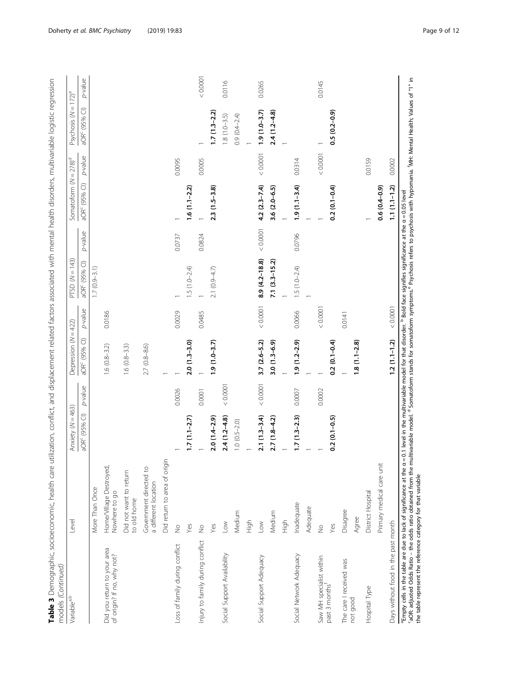| Did you return to your area<br>of origin? If no, why not? |                                                | Anxiety $(N = 463)$       |          | Depression $(N = 422)$    |          | PTSD $(N = 143)$   |          | Somatoform $(N = 278)^d$ |          | Psychosis $(N = 172)^e$   |          |
|-----------------------------------------------------------|------------------------------------------------|---------------------------|----------|---------------------------|----------|--------------------|----------|--------------------------|----------|---------------------------|----------|
|                                                           |                                                | aOR <sup>c</sup> (95% Cl) | p-value  | aOR <sup>c</sup> (95% Cl) | p-value  | $(95%$ Cl)<br>aOR  | p-value  | $(95%$ Cl)<br>aOR        | p-value  | aOR <sup>c</sup> (95% Cl) | p-value  |
|                                                           | More Than Once                                 |                           |          |                           |          | $1.7(0.9-3.1)$     |          |                          |          |                           |          |
|                                                           | Home/Village Destroyed,<br>Nowhere to go       |                           |          | $1.6(0.8-3.2)$            | 0.0186   |                    |          |                          |          |                           |          |
| to old home                                               | Did not want to return                         |                           |          | $1.6(0.8-3.3)$            |          |                    |          |                          |          |                           |          |
|                                                           | Government directed to<br>a different location |                           |          | $2.7(0.8 - 8.6)$          |          |                    |          |                          |          |                           |          |
|                                                           | Did return to area of origin                   |                           |          |                           |          |                    |          |                          |          |                           |          |
| $\frac{1}{2}$<br>Loss of family during conflict           |                                                |                           | 0.0026   |                           | 0.0029   |                    | 0.0737   |                          | 0.0095   |                           |          |
| Yes                                                       |                                                | $1.7(11-2.7)$             |          | $2.0(1.3 - 3.0)$          |          | $1.5(1.0-2.4)$     |          | $1.6(1.1 - 2.2)$         |          |                           |          |
| $\frac{1}{2}$<br>Injury to family during conflict         |                                                |                           | 0.0001   |                           | 0.0485   |                    | 0.0824   |                          | 0.0005   |                           | < 0.0001 |
| Yes                                                       |                                                | $2.0(1.4-2.9)$            |          | $1.9(1.0-3.7)$            |          | $2.1(0.9 - 4.7)$   |          | $2.3(1.5-3.8)$           |          | $1.7(1.3-2.2)$            |          |
| $\sqrt{2}$<br>Social Support Availability                 |                                                | $2.4(1.2 - 4.8)$          | < 0.0001 |                           |          |                    |          |                          |          | $1.8(1.0-3.5)$            | 0.0116   |
| Medium                                                    |                                                | $1.0 (0.5 - 2.0)$         |          |                           |          |                    |          |                          |          | $0.9(0.4 - 2.4)$          |          |
| High                                                      |                                                |                           |          |                           |          |                    |          |                          |          |                           |          |
| $\sqrt{2}$<br>Social Support Adequacy                     |                                                | $2.1(1.3-3.4)$            | 0.0001   | $3.7(2.6 - 5.2)$          | < 0.0001 | $8.9(4.2 - 18.8)$  | < 0.0001 | $4.2(2.3 - 7.4)$         | < 0.0001 | $1.9(1.0 - 3.7)$          | 0.0265   |
| Medium                                                    |                                                | $2.7(1.8-4.2)$            |          | $3.0(1.3-6.9)$            |          | $7.1 (3.3 - 15.2)$ |          | $3.6(2.0-6.5)$           |          | $2.4(1.2 - 4.8)$          |          |
| も<br>三                                                    |                                                |                           |          |                           |          |                    |          |                          |          |                           |          |
| Inadequate<br>Social Network Adequacy                     |                                                | $1.7(1.3-2.3)$            | 0.0007   | $1.9(1.2 - 2.9)$          | 0.0066   | $1.5(1.0-2.4)$     | 0.0796   | $1.9(1.1 - 3.4)$         | 0.0314   |                           |          |
| Adequate                                                  |                                                |                           |          |                           |          |                    |          |                          |          |                           |          |
| $\frac{1}{2}$<br>Saw MH specialist within                 |                                                |                           | 0.0002   |                           | < 0.0001 |                    |          |                          | 0.0001   |                           | 0.0145   |
| Yes<br>past 3 months                                      |                                                | $0.2(0.1 - 0.5)$          |          | $0.2(0.1 - 0.4)$          |          |                    |          | $0.2(0.1 - 0.4)$         |          | $0.5(0.2 - 0.9)$          |          |
| Disagree<br>The care I received was                       |                                                |                           |          |                           | 0.0141   |                    |          |                          |          |                           |          |
| Agree<br>not good                                         |                                                |                           |          | $1.8(1.1-2.8)$            |          |                    |          |                          |          |                           |          |
| District Hospital<br>Hospital Type                        |                                                |                           |          |                           |          |                    |          |                          | 0.0159   |                           |          |
|                                                           | Primary medical care unit                      |                           |          |                           |          |                    |          | $0.6(0.4-0.9)$           |          |                           |          |
| Days without food in the past month                       |                                                |                           |          | $1.2(1.1-1.2)$            | 0.0001   |                    |          | $1.1(1-1.2)$             | 0.0002   |                           |          |

 $\overline{a}$  $\frac{1}{2}$ j.  $\frac{1}{2}$  $\frac{1}{7}$  $\frac{4}{1}$  $\frac{1}{2}$  $\frac{4}{4}$  $\frac{1}{2}$ نې<br>ح  $\frac{1}{2}$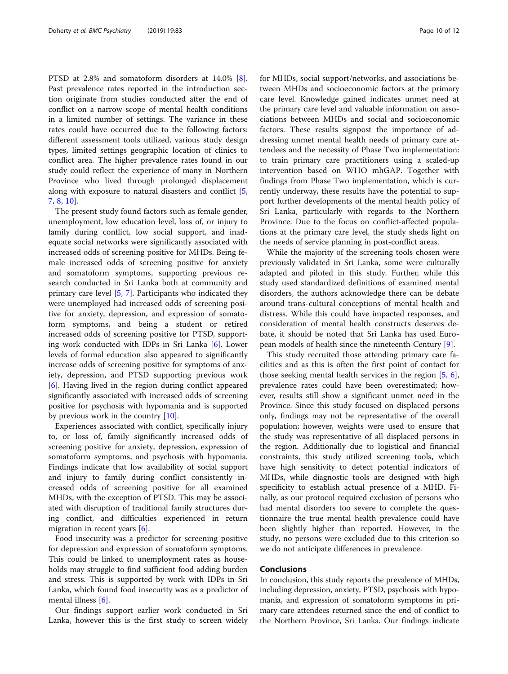PTSD at 2.8% and somatoform disorders at 14.0% [\[8](#page-10-0)]. Past prevalence rates reported in the introduction section originate from studies conducted after the end of conflict on a narrow scope of mental health conditions in a limited number of settings. The variance in these rates could have occurred due to the following factors: different assessment tools utilized, various study design types, limited settings geographic location of clinics to conflict area. The higher prevalence rates found in our study could reflect the experience of many in Northern Province who lived through prolonged displacement along with exposure to natural disasters and conflict [\[5](#page-10-0), [7,](#page-10-0) [8,](#page-10-0) [10\]](#page-10-0).

The present study found factors such as female gender, unemployment, low education level, loss of, or injury to family during conflict, low social support, and inadequate social networks were significantly associated with increased odds of screening positive for MHDs. Being female increased odds of screening positive for anxiety and somatoform symptoms, supporting previous research conducted in Sri Lanka both at community and primary care level [[5,](#page-10-0) [7](#page-10-0)]. Participants who indicated they were unemployed had increased odds of screening positive for anxiety, depression, and expression of somatoform symptoms, and being a student or retired increased odds of screening positive for PTSD, supporting work conducted with IDPs in Sri Lanka [[6\]](#page-10-0). Lower levels of formal education also appeared to significantly increase odds of screening positive for symptoms of anxiety, depression, and PTSD supporting previous work [[6\]](#page-10-0). Having lived in the region during conflict appeared significantly associated with increased odds of screening positive for psychosis with hypomania and is supported by previous work in the country [[10](#page-10-0)].

Experiences associated with conflict, specifically injury to, or loss of, family significantly increased odds of screening positive for anxiety, depression, expression of somatoform symptoms, and psychosis with hypomania. Findings indicate that low availability of social support and injury to family during conflict consistently increased odds of screening positive for all examined MHDs, with the exception of PTSD. This may be associated with disruption of traditional family structures during conflict, and difficulties experienced in return migration in recent years [[6\]](#page-10-0).

Food insecurity was a predictor for screening positive for depression and expression of somatoform symptoms. This could be linked to unemployment rates as households may struggle to find sufficient food adding burden and stress. This is supported by work with IDPs in Sri Lanka, which found food insecurity was as a predictor of mental illness [[6\]](#page-10-0).

Our findings support earlier work conducted in Sri Lanka, however this is the first study to screen widely for MHDs, social support/networks, and associations between MHDs and socioeconomic factors at the primary care level. Knowledge gained indicates unmet need at the primary care level and valuable information on associations between MHDs and social and socioeconomic factors. These results signpost the importance of addressing unmet mental health needs of primary care attendees and the necessity of Phase Two implementation: to train primary care practitioners using a scaled-up intervention based on WHO mhGAP. Together with findings from Phase Two implementation, which is currently underway, these results have the potential to support further developments of the mental health policy of Sri Lanka, particularly with regards to the Northern Province. Due to the focus on conflict-affected populations at the primary care level, the study sheds light on the needs of service planning in post-conflict areas.

While the majority of the screening tools chosen were previously validated in Sri Lanka, some were culturally adapted and piloted in this study. Further, while this study used standardized definitions of examined mental disorders, the authors acknowledge there can be debate around trans-cultural conceptions of mental health and distress. While this could have impacted responses, and consideration of mental health constructs deserves debate, it should be noted that Sri Lanka has used European models of health since the nineteenth Century [[9](#page-10-0)].

This study recruited those attending primary care facilities and as this is often the first point of contact for those seeking mental health services in the region [[5,](#page-10-0) [6](#page-10-0)], prevalence rates could have been overestimated; however, results still show a significant unmet need in the Province. Since this study focused on displaced persons only, findings may not be representative of the overall population; however, weights were used to ensure that the study was representative of all displaced persons in the region. Additionally due to logistical and financial constraints, this study utilized screening tools, which have high sensitivity to detect potential indicators of MHDs, while diagnostic tools are designed with high specificity to establish actual presence of a MHD. Finally, as our protocol required exclusion of persons who had mental disorders too severe to complete the questionnaire the true mental health prevalence could have been slightly higher than reported. However, in the study, no persons were excluded due to this criterion so we do not anticipate differences in prevalence.

#### Conclusions

In conclusion, this study reports the prevalence of MHDs, including depression, anxiety, PTSD, psychosis with hypomania, and expression of somatoform symptoms in primary care attendees returned since the end of conflict to the Northern Province, Sri Lanka. Our findings indicate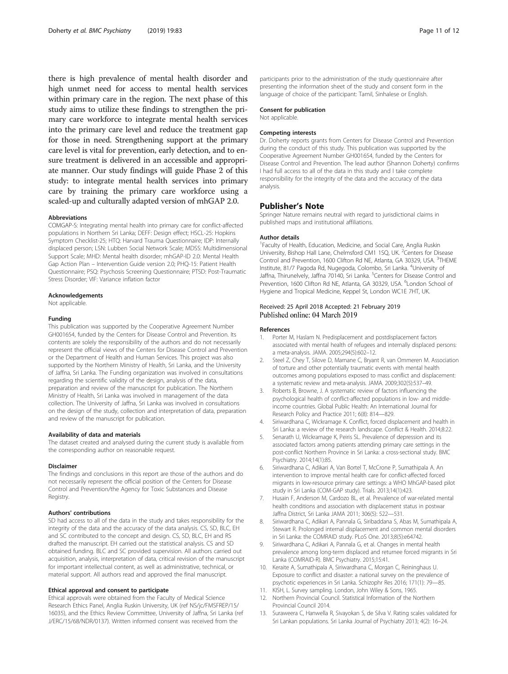<span id="page-10-0"></span>there is high prevalence of mental health disorder and high unmet need for access to mental health services within primary care in the region. The next phase of this study aims to utilize these findings to strengthen the primary care workforce to integrate mental health services into the primary care level and reduce the treatment gap for those in need. Strengthening support at the primary care level is vital for prevention, early detection, and to ensure treatment is delivered in an accessible and appropriate manner. Our study findings will guide Phase 2 of this study: to integrate mental health services into primary care by training the primary care workforce using a scaled-up and culturally adapted version of mhGAP 2.0.

#### Abbreviations

COMGAP-S: Integrating mental health into primary care for conflict-affected populations in Northern Sri Lanka; DEFF: Design effect; HSCL-25: Hopkins Symptom Checklist-25; HTQ: Harvard Trauma Questionnaire; IDP: Internally displaced person; LSN: Lubben Social Network Scale; MDSS: Multidimensional Support Scale; MHD: Mental health disorder; mhGAP-ID 2.0: Mental Health Gap Action Plan – Intervention Guide version 2.0; PHQ-15: Patient Health Questionnaire; PSQ: Psychosis Screening Questionnaire; PTSD: Post-Traumatic Stress Disorder; VIF: Variance inflation factor

#### Acknowledgements

Not applicable.

#### Funding

This publication was supported by the Cooperative Agreement Number GH001654, funded by the Centers for Disease Control and Prevention. Its contents are solely the responsibility of the authors and do not necessarily represent the official views of the Centers for Disease Control and Prevention or the Department of Health and Human Services. This project was also supported by the Northern Ministry of Health, Sri Lanka, and the University of Jaffna, Sri Lanka. The Funding organization was involved in consultations regarding the scientific validity of the design, analysis of the data, preparation and review of the manuscript for publication. The Northern Ministry of Health, Sri Lanka was involved in management of the data collection. The University of Jaffna, Sri Lanka was involved in consultations on the design of the study, collection and interpretation of data, preparation and review of the manuscript for publication.

#### Availability of data and materials

The dataset created and analysed during the current study is available from the corresponding author on reasonable request.

#### Disclaimer

The findings and conclusions in this report are those of the authors and do not necessarily represent the official position of the Centers for Disease Control and Prevention/the Agency for Toxic Substances and Disease Registry.

#### Authors' contributions

SD had access to all of the data in the study and takes responsibility for the integrity of the data and the accuracy of the data analysis. CS, SD, BLC, EH and SC contributed to the concept and design. CS, SD, BLC, EH and RS drafted the manuscript. EH carried out the statistical analysis. CS and SD obtained funding. BLC and SC provided supervision. All authors carried out acquisition, analysis, interpretation of data, critical revision of the manuscript for important intellectual content, as well as administrative, technical, or material support. All authors read and approved the final manuscript.

#### Ethical approval and consent to participate

Ethical approvals were obtained from the Faculty of Medical Science Research Ethics Panel, Anglia Ruskin University, UK (ref NS/jc/FMSFREP/15/ 16035), and the Ethics Review Committee, University of Jaffna, Sri Lanka (ref J/ERC/15/68/NDR/0137). Written informed consent was received from the

participants prior to the administration of the study questionnaire after presenting the information sheet of the study and consent form in the language of choice of the participant: Tamil, Sinhalese or English.

#### Consent for publication

Not applicable.

#### Competing interests

Dr. Doherty reports grants from Centers for Disease Control and Prevention during the conduct of this study. This publication was supported by the Cooperative Agreement Number GH001654, funded by the Centers for Disease Control and Prevention. The lead author (Shannon Doherty) confirms I had full access to all of the data in this study and I take complete responsibility for the integrity of the data and the accuracy of the data analysis.

#### Publisher's Note

Springer Nature remains neutral with regard to jurisdictional claims in published maps and institutional affiliations.

#### Author details

<sup>1</sup> Faculty of Health, Education, Medicine, and Social Care, Anglia Ruskin University, Bishop Hall Lane, Chelmsford CM1 1SQ, UK. <sup>2</sup>Centers for Disease Control and Prevention, 1600 Clifton Rd NE, Atlanta, GA 30329, USA. <sup>3</sup>THEME Institute, 81/7 Pagoda Rd, Nugegoda, Colombo, Sri Lanka. <sup>4</sup>University of Jaffna, Thirunelvely, Jaffna 70140, Sri Lanka. <sup>5</sup>Centers for Disease Control and Prevention, 1600 Clifton Rd NE, Atlanta, GA 30329, USA. <sup>6</sup>London School of Hygiene and Tropical Medicine, Keppel St, London WC1E 7HT, UK.

#### Received: 25 April 2018 Accepted: 21 February 2019 Published online: 04 March 2019

#### References

- 1. Porter M, Haslam N. Predisplacement and postdisplacement factors associated with mental health of refugees and internally displaced persons: a meta-analysis. JAMA. 2005;294(5):602–12.
- 2. Steel Z, Chey T, Silove D, Marnane C, Bryant R, van Ommeren M. Association of torture and other potentially traumatic events with mental health outcomes among populations exposed to mass conflict and displacement: a systematic review and meta-analysis. JAMA. 2009;302(5):537–49.
- Roberts B, Browne, J. A systematic review of factors influencing the psychological health of conflict-affected populations in low- and middleincome countries. Global Public Health: An International Journal for Research Policy and Practice 2011; 6(8): 814—829.
- 4. Siriwardhana C, Wickramage K. Conflict, forced displacement and health in Sri Lanka: a review of the research landscape. Conflict & Health. 2014;8:22.
- 5. Senarath U, Wickramage K, Peiris SL. Prevalence of depression and its associated factors among patients attending primary care settings in the post-conflict Northern Province in Sri Lanka: a cross-sectional study. BMC Psychiatry. 2014;14(1):85.
- 6. Siriwardhana C, Adikari A, Van Bortel T, McCrone P, Sumathipala A. An intervention to improve mental health care for conflict-affected forced migrants in low-resource primary care settings: a WHO MhGAP-based pilot study in Sri Lanka (COM-GAP study). Trials. 2013;14(1):423.
- Husain F, Anderson M, Cardozo BL, et al. Prevalence of war-related mental health conditions and association with displacement status in postwar Jaffna District, Sri Lanka JAMA 2011; 306(5): 522—531.
- Siriwardhana C, Adikari A, Pannala G, Siribaddana S, Abas M, Sumathipala A, Stewart R. Prolonged internal displacement and common mental disorders in Sri Lanka: the COMRAID study. PLoS One. 2013;8(5):e64742.
- Siriwardhana C, Adikari A, Pannala G, et al. Changes in mental health prevalence among long-term displaced and returnee forced migrants in Sri Lanka (COMRAID-R). BMC Psychiatry. 2015;15:41.
- 10. Keraite A, Sumathipala A, Siriwardhana C, Morgan C, Reininghaus U. Exposure to conflict and disaster: a national survey on the prevalence of psychotic experiences in Sri Lanka. Schizophr Res 2016; 171(1): 79—85.
- 11. KISH, L. Survey sampling. London, John Wiley & Sons, 1965.
- 12. Northern Provincial Council. Statistical Information of the Northern Provincial Council 2014.
- 13. Suraweera C, Hanwella R, Sivayokan S, de Silva V. Rating scales validated for Sri Lankan populations. Sri Lanka Journal of Psychiatry 2013; 4(2): 16–24.